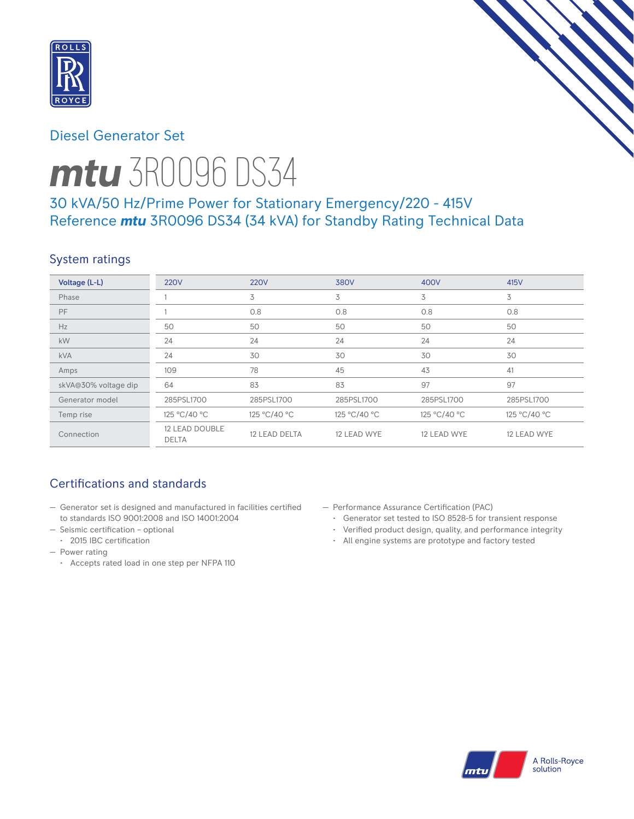

# Diesel Generator Set



# *mtu* 3R0096 DS34

# 30 kVA/50 Hz/Prime Power for Stationary Emergency/220 - 415V Reference *mtu* 3R0096 DS34 (34 kVA) for Standby Rating Technical Data

# System ratings

| Voltage (L-L)        | <b>220V</b>                           | <b>220V</b>   | 380V         | 400V         | 415V         |
|----------------------|---------------------------------------|---------------|--------------|--------------|--------------|
| Phase                |                                       | 3             | 3            | 3            | 3            |
| PF                   |                                       | 0.8           | 0.8          | 0.8          | 0.8          |
| Hz                   | 50                                    | 50            | 50           | 50           | 50           |
| kW                   | 24                                    | 24            | 24           | 24           | 24           |
| <b>kVA</b>           | 24                                    | 30            | 30           | 30           | 30           |
| Amps                 | 109                                   | 78            | 45           | 43           | 41           |
| skVA@30% voltage dip | 64                                    | 83            | 83           | 97           | 97           |
| Generator model      | 285PSL1700                            | 285PSL1700    | 285PSL1700   | 285PSL1700   | 285PSL1700   |
| Temp rise            | 125 °C/40 °C                          | 125 °C/40 °C  | 125 °C/40 °C | 125 °C/40 °C | 125 °C/40 °C |
| Connection           | <b>12 LEAD DOUBLE</b><br><b>DELTA</b> | 12 LEAD DELTA | 12 LEAD WYE  | 12 LEAD WYE  | 12 LEAD WYE  |

# Certifications and standards

- Generator set is designed and manufactured in facilities certified to standards ISO 9001:2008 and ISO 14001:2004
- Seismic certification optional
- 2015 IBC certification
- Power rating
	- Accepts rated load in one step per NFPA 110
- Performance Assurance Certification (PAC)
	- Generator set tested to ISO 8528-5 for transient response
	- Verified product design, quality, and performance integrity
	- All engine systems are prototype and factory tested

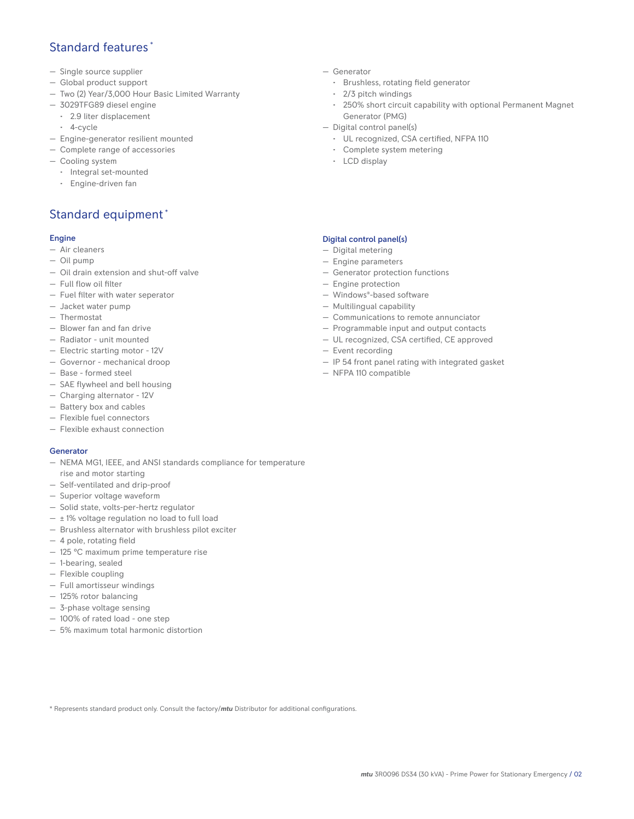## Standard features \*

- Single source supplier
- Global product support
- Two (2) Year/3,000 Hour Basic Limited Warranty
- 3029TFG89 diesel engine
	- 2.9 liter displacement
	- 4-cycle
- Engine-generator resilient mounted
- Complete range of accessories
- Cooling system
	- Integral set-mounted
	- Engine-driven fan

## Standard equipment \*

### Engine

- Air cleaners
- Oil pump
- Oil drain extension and shut-off valve
- Full flow oil filter
- Fuel filter with water seperator
- Jacket water pump
- Thermostat
- Blower fan and fan drive
- Radiator unit mounted
- Electric starting motor 12V
- Governor mechanical droop
- Base formed steel
- SAE flywheel and bell housing
- Charging alternator 12V
- Battery box and cables
- Flexible fuel connectors
- Flexible exhaust connection

### Generator

- NEMA MG1, IEEE, and ANSI standards compliance for temperature rise and motor starting
- Self-ventilated and drip-proof
- Superior voltage waveform
- Solid state, volts-per-hertz regulator
- $\pm$  1% voltage regulation no load to full load
- Brushless alternator with brushless pilot exciter
- 4 pole, rotating field
- 125 °C maximum prime temperature rise
- 1-bearing, sealed
- Flexible coupling
- Full amortisseur windings
- 125% rotor balancing
- 3-phase voltage sensing
- 100% of rated load one step
- 5% maximum total harmonic distortion
- Generator
	- Brushless, rotating field generator
	- 2/3 pitch windings
	- 250% short circuit capability with optional Permanent Magnet Generator (PMG)
- Digital control panel(s)
	- UL recognized, CSA certified, NFPA 110
	- Complete system metering
	- LCD display

## Digital control panel(s)

- Digital metering
- Engine parameters
- Generator protection functions
- Engine protection
- Windows®-based software
- Multilingual capability
- Communications to remote annunciator
- Programmable input and output contacts
- UL recognized, CSA certified, CE approved
- Event recording
- IP 54 front panel rating with integrated gasket
- NFPA 110 compatible

\* Represents standard product only. Consult the factory/*mtu* Distributor for additional configurations.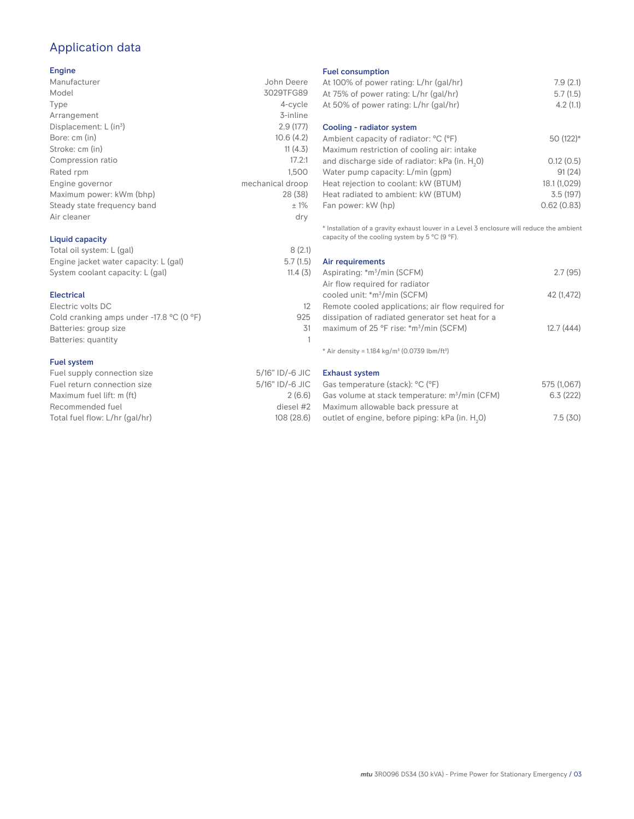# Application data

### Engine

| Manufacturer                         | John Deere       |
|--------------------------------------|------------------|
| Model                                | 3029TFG89        |
| Type                                 | 4-cycle          |
| Arrangement                          | 3-inline         |
| Displacement: $L$ (in <sup>3</sup> ) | 2.9(177)         |
| Bore: cm (in)                        | 10.6(4.2)        |
| Stroke: cm (in)                      | 11(4.3)          |
| Compression ratio                    | 17.2:1           |
| Rated rpm                            | 1.500            |
| Engine governor                      | mechanical droop |
| Maximum power: kWm (bhp)             | 28 (38)          |
| Steady state frequency band          | ±1%              |
| Air cleaner                          | dry              |
|                                      |                  |

## Liquid capacity

| Total oil system: L (gal)             | 8(2.1)   |
|---------------------------------------|----------|
| Engine jacket water capacity: L (gal) | 5.7(1.5) |
| System coolant capacity: L (gal)      | 11.4(3)  |

#### Electrical

| Electric volts DC                                            |     |
|--------------------------------------------------------------|-----|
| Cold cranking amps under -17.8 $^{\circ}$ C (O $^{\circ}$ F) | 925 |
| Batteries: group size                                        | 31  |
| Batteries: quantity                                          |     |
|                                                              |     |

#### Fuel system

| Fuel supply connection size    | 5/16" ID/-6 JIC |
|--------------------------------|-----------------|
| Fuel return connection size    | 5/16" ID/-6 JIC |
| Maximum fuel lift: m (ft)      | 2(6.6)          |
| Recommended fuel               | diesel #2       |
| Total fuel flow: L/hr (gal/hr) | 108 (28.6)      |

#### Fuel consumption

| At 100% of power rating: L/hr (gal/hr)<br>At 75% of power rating: L/hr (gal/hr) | 7.9(2.1)<br>5.7(1.5) |
|---------------------------------------------------------------------------------|----------------------|
| At 50% of power rating: L/hr (gal/hr)                                           | 4.2(1.1)             |
| Cooling - radiator system                                                       |                      |
| Ambient capacity of radiator: °C (°F)                                           | 50 (122)*            |
| Maximum restriction of cooling air: intake                                      |                      |
| and discharge side of radiator: kPa (in. H <sub>2</sub> O)                      | 0.12(0.5)            |
| Water pump capacity: L/min (gpm)                                                | 91(24)               |
| Heat rejection to coolant: kW (BTUM)                                            | 18.1 (1,029)         |
| Heat radiated to ambient: kW (BTUM)                                             | 3.5(197)             |
| Fan power: kW (hp)                                                              | 0.62(0.83)           |

\* Installation of a gravity exhaust louver in a Level 3 enclosure will reduce the ambient capacity of the cooling system by 5  $^{\circ}$ C (9  $^{\circ}$ F).

| Air requirements                                   |            |
|----------------------------------------------------|------------|
| Aspirating: *m <sup>3</sup> /min (SCFM)            | 2.7(95)    |
| Air flow required for radiator                     |            |
| cooled unit: *m <sup>3</sup> /min (SCFM)           | 42 (1.472) |
| Remote cooled applications; air flow required for  |            |
| dissipation of radiated generator set heat for a   |            |
| maximum of 25 °F rise: *m <sup>3</sup> /min (SCFM) | 12.7(444)  |
|                                                    |            |

 $*$  Air density = 1.184 kg/m<sup>3</sup> (0.0739 lbm/ft<sup>3</sup>)

Exhaust system

| Gas temperature (stack): <sup>o</sup> C (°F)                | 575 (1,067) |
|-------------------------------------------------------------|-------------|
| Gas volume at stack temperature: $m^3/m$ in (CFM)           | 6.3(222)    |
| Maximum allowable back pressure at                          |             |
| outlet of engine, before piping: kPa (in. H <sub>2</sub> O) | 7.5(30)     |